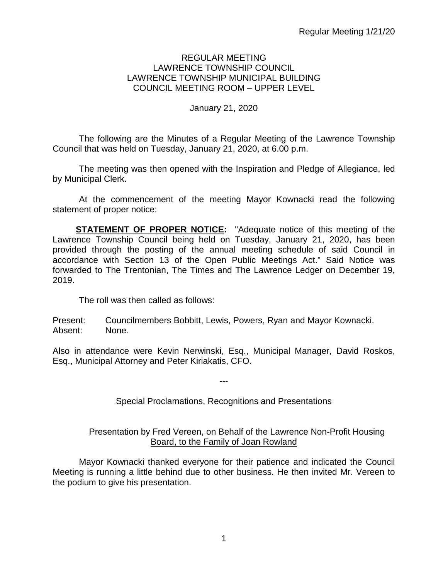## REGULAR MEETING LAWRENCE TOWNSHIP COUNCIL LAWRENCE TOWNSHIP MUNICIPAL BUILDING COUNCIL MEETING ROOM – UPPER LEVEL

# January 21, 2020

The following are the Minutes of a Regular Meeting of the Lawrence Township Council that was held on Tuesday, January 21, 2020, at 6.00 p.m.

The meeting was then opened with the Inspiration and Pledge of Allegiance, led by Municipal Clerk.

At the commencement of the meeting Mayor Kownacki read the following statement of proper notice:

**STATEMENT OF PROPER NOTICE:** "Adequate notice of this meeting of the Lawrence Township Council being held on Tuesday, January 21, 2020, has been provided through the posting of the annual meeting schedule of said Council in accordance with Section 13 of the Open Public Meetings Act." Said Notice was forwarded to The Trentonian, The Times and The Lawrence Ledger on December 19, 2019.

The roll was then called as follows:

Present: Councilmembers Bobbitt, Lewis, Powers, Ryan and Mayor Kownacki. Absent: None.

Also in attendance were Kevin Nerwinski, Esq., Municipal Manager, David Roskos, Esq., Municipal Attorney and Peter Kiriakatis, CFO.

Special Proclamations, Recognitions and Presentations

---

## Presentation by Fred Vereen, on Behalf of the Lawrence Non-Profit Housing Board, to the Family of Joan Rowland

Mayor Kownacki thanked everyone for their patience and indicated the Council Meeting is running a little behind due to other business. He then invited Mr. Vereen to the podium to give his presentation.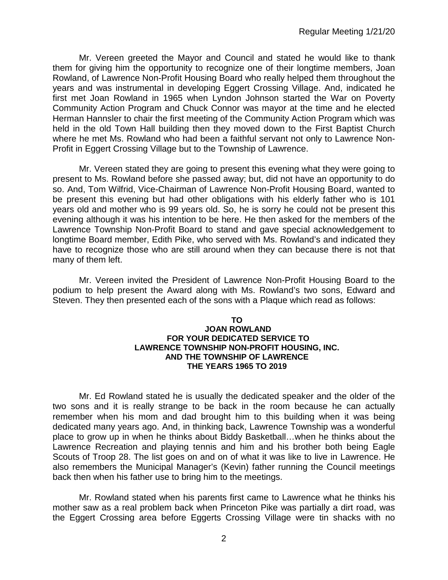Mr. Vereen greeted the Mayor and Council and stated he would like to thank them for giving him the opportunity to recognize one of their longtime members, Joan Rowland, of Lawrence Non-Profit Housing Board who really helped them throughout the years and was instrumental in developing Eggert Crossing Village. And, indicated he first met Joan Rowland in 1965 when Lyndon Johnson started the War on Poverty Community Action Program and Chuck Connor was mayor at the time and he elected Herman Hannsler to chair the first meeting of the Community Action Program which was held in the old Town Hall building then they moved down to the First Baptist Church where he met Ms. Rowland who had been a faithful servant not only to Lawrence Non-Profit in Eggert Crossing Village but to the Township of Lawrence.

Mr. Vereen stated they are going to present this evening what they were going to present to Ms. Rowland before she passed away; but, did not have an opportunity to do so. And, Tom Wilfrid, Vice-Chairman of Lawrence Non-Profit Housing Board, wanted to be present this evening but had other obligations with his elderly father who is 101 years old and mother who is 99 years old. So, he is sorry he could not be present this evening although it was his intention to be here. He then asked for the members of the Lawrence Township Non-Profit Board to stand and gave special acknowledgement to longtime Board member, Edith Pike, who served with Ms. Rowland's and indicated they have to recognize those who are still around when they can because there is not that many of them left.

Mr. Vereen invited the President of Lawrence Non-Profit Housing Board to the podium to help present the Award along with Ms. Rowland's two sons, Edward and Steven. They then presented each of the sons with a Plaque which read as follows:

### **TO JOAN ROWLAND FOR YOUR DEDICATED SERVICE TO LAWRENCE TOWNSHIP NON-PROFIT HOUSING, INC. AND THE TOWNSHIP OF LAWRENCE THE YEARS 1965 TO 2019**

Mr. Ed Rowland stated he is usually the dedicated speaker and the older of the two sons and it is really strange to be back in the room because he can actually remember when his mom and dad brought him to this building when it was being dedicated many years ago. And, in thinking back, Lawrence Township was a wonderful place to grow up in when he thinks about Biddy Basketball…when he thinks about the Lawrence Recreation and playing tennis and him and his brother both being Eagle Scouts of Troop 28. The list goes on and on of what it was like to live in Lawrence. He also remembers the Municipal Manager's (Kevin) father running the Council meetings back then when his father use to bring him to the meetings.

Mr. Rowland stated when his parents first came to Lawrence what he thinks his mother saw as a real problem back when Princeton Pike was partially a dirt road, was the Eggert Crossing area before Eggerts Crossing Village were tin shacks with no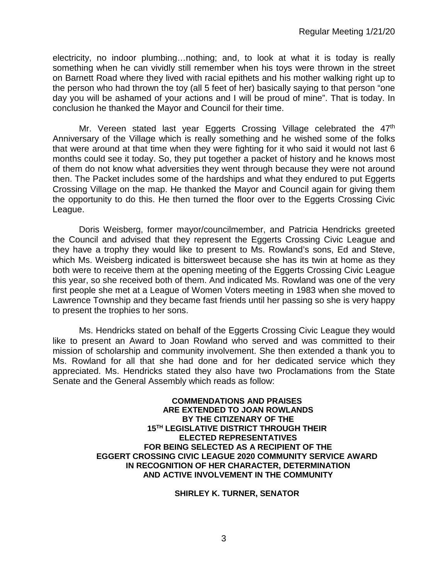electricity, no indoor plumbing…nothing; and, to look at what it is today is really something when he can vividly still remember when his toys were thrown in the street on Barnett Road where they lived with racial epithets and his mother walking right up to the person who had thrown the toy (all 5 feet of her) basically saying to that person "one day you will be ashamed of your actions and I will be proud of mine". That is today. In conclusion he thanked the Mayor and Council for their time.

Mr. Vereen stated last year Eggerts Crossing Village celebrated the 47<sup>th</sup> Anniversary of the Village which is really something and he wished some of the folks that were around at that time when they were fighting for it who said it would not last 6 months could see it today. So, they put together a packet of history and he knows most of them do not know what adversities they went through because they were not around then. The Packet includes some of the hardships and what they endured to put Eggerts Crossing Village on the map. He thanked the Mayor and Council again for giving them the opportunity to do this. He then turned the floor over to the Eggerts Crossing Civic League.

Doris Weisberg, former mayor/councilmember, and Patricia Hendricks greeted the Council and advised that they represent the Eggerts Crossing Civic League and they have a trophy they would like to present to Ms. Rowland's sons, Ed and Steve, which Ms. Weisberg indicated is bittersweet because she has its twin at home as they both were to receive them at the opening meeting of the Eggerts Crossing Civic League this year, so she received both of them. And indicated Ms. Rowland was one of the very first people she met at a League of Women Voters meeting in 1983 when she moved to Lawrence Township and they became fast friends until her passing so she is very happy to present the trophies to her sons.

Ms. Hendricks stated on behalf of the Eggerts Crossing Civic League they would like to present an Award to Joan Rowland who served and was committed to their mission of scholarship and community involvement. She then extended a thank you to Ms. Rowland for all that she had done and for her dedicated service which they appreciated. Ms. Hendricks stated they also have two Proclamations from the State Senate and the General Assembly which reads as follow:

> **COMMENDATIONS AND PRAISES ARE EXTENDED TO JOAN ROWLANDS BY THE CITIZENARY OF THE 15TH LEGISLATIVE DISTRICT THROUGH THEIR ELECTED REPRESENTATIVES FOR BEING SELECTED AS A RECIPIENT OF THE EGGERT CROSSING CIVIC LEAGUE 2020 COMMUNITY SERVICE AWARD IN RECOGNITION OF HER CHARACTER, DETERMINATION AND ACTIVE INVOLVEMENT IN THE COMMUNITY**

#### **SHIRLEY K. TURNER, SENATOR**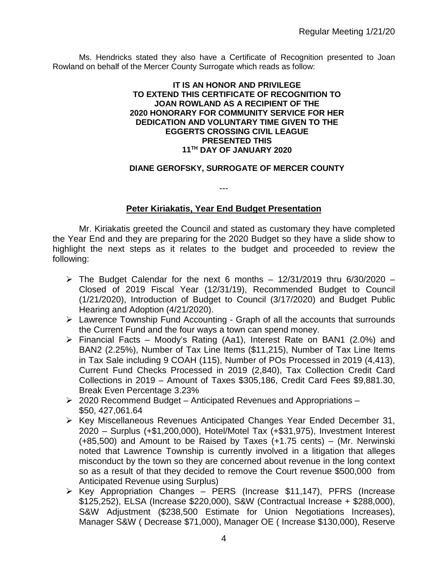Ms. Hendricks stated they also have a Certificate of Recognition presented to Joan Rowland on behalf of the Mercer County Surrogate which reads as follow:

### **IT IS AN HONOR AND PRIVILEGE TO EXTEND THIS CERTIFICATE OF RECOGNITION TO JOAN ROWLAND AS A RECIPIENT OF THE 2020 HONORARY FOR COMMUNITY SERVICE FOR HER DEDICATION AND VOLUNTARY TIME GIVEN TO THE EGGERTS CROSSING CIVIL LEAGUE PRESENTED THIS 11TH DAY OF JANUARY 2020**

### **DIANE GEROFSKY, SURROGATE OF MERCER COUNTY**

---

# **Peter Kiriakatis, Year End Budget Presentation**

Mr. Kiriakatis greeted the Council and stated as customary they have completed the Year End and they are preparing for the 2020 Budget so they have a slide show to highlight the next steps as it relates to the budget and proceeded to review the following:

- $\triangleright$  The Budget Calendar for the next 6 months 12/31/2019 thru 6/30/2020 -Closed of 2019 Fiscal Year (12/31/19), Recommended Budget to Council (1/21/2020), Introduction of Budget to Council (3/17/2020) and Budget Public Hearing and Adoption (4/21/2020).
- $\triangleright$  Lawrence Township Fund Accounting Graph of all the accounts that surrounds the Current Fund and the four ways a town can spend money.
- Financial Facts Moody's Rating (Aa1), Interest Rate on BAN1 (2.0%) and BAN2 (2.25%), Number of Tax Line Items (\$11,215), Number of Tax Line Items in Tax Sale including 9 COAH (115), Number of POs Processed in 2019 (4,413), Current Fund Checks Processed in 2019 (2,840), Tax Collection Credit Card Collections in 2019 – Amount of Taxes \$305,186, Credit Card Fees \$9,881.30, Break Even Percentage 3.23%
- $\geq$  2020 Recommend Budget Anticipated Revenues and Appropriations \$50, 427,061.64
- $\triangleright$  Key Miscellaneous Revenues Anticipated Changes Year Ended December 31, 2020 – Surplus (+\$1,200,000), Hotel/Motel Tax (+\$31,975), Investment Interest (+85,500) and Amount to be Raised by Taxes (+1.75 cents) – (Mr. Nerwinski noted that Lawrence Township is currently involved in a litigation that alleges misconduct by the town so they are concerned about revenue in the long context so as a result of that they decided to remove the Court revenue \$500,000 from Anticipated Revenue using Surplus)
- $\triangleright$  Key Appropriation Changes PERS (Increase \$11,147), PFRS (Increase \$125,252), ELSA (Increase \$220,000), S&W (Contractual Increase + \$288,000), S&W Adjustment (\$238,500 Estimate for Union Negotiations Increases), Manager S&W ( Decrease \$71,000), Manager OE ( Increase \$130,000), Reserve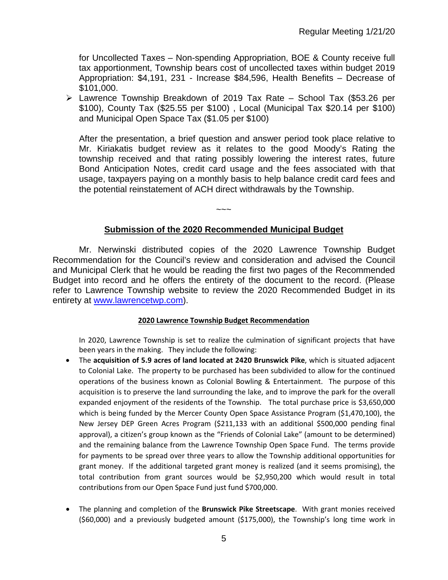for Uncollected Taxes – Non-spending Appropriation, BOE & County receive full tax apportionment, Township bears cost of uncollected taxes within budget 2019 Appropriation: \$4,191, 231 - Increase \$84,596, Health Benefits – Decrease of \$101,000.

 Lawrence Township Breakdown of 2019 Tax Rate – School Tax (\$53.26 per \$100), County Tax (\$25.55 per \$100) , Local (Municipal Tax \$20.14 per \$100) and Municipal Open Space Tax (\$1.05 per \$100)

After the presentation, a brief question and answer period took place relative to Mr. Kiriakatis budget review as it relates to the good Moody's Rating the township received and that rating possibly lowering the interest rates, future Bond Anticipation Notes, credit card usage and the fees associated with that usage, taxpayers paying on a monthly basis to help balance credit card fees and the potential reinstatement of ACH direct withdrawals by the Township.

## **Submission of the 2020 Recommended Municipal Budget**

 $\sim$   $\sim$   $\sim$ 

Mr. Nerwinski distributed copies of the 2020 Lawrence Township Budget Recommendation for the Council's review and consideration and advised the Council and Municipal Clerk that he would be reading the first two pages of the Recommended Budget into record and he offers the entirety of the document to the record. (Please refer to Lawrence Township website to review the 2020 Recommended Budget in its entirety at [www.lawrencetwp.com\)](http://www.lawrencetwp.com/).

#### **2020 Lawrence Township Budget Recommendation**

In 2020, Lawrence Township is set to realize the culmination of significant projects that have been years in the making. They include the following:

- The **acquisition of 5.9 acres of land located at 2420 Brunswick Pike**, which is situated adjacent to Colonial Lake. The property to be purchased has been subdivided to allow for the continued operations of the business known as Colonial Bowling & Entertainment. The purpose of this acquisition is to preserve the land surrounding the lake, and to improve the park for the overall expanded enjoyment of the residents of the Township. The total purchase price is \$3,650,000 which is being funded by the Mercer County Open Space Assistance Program (\$1,470,100), the New Jersey DEP Green Acres Program (\$211,133 with an additional \$500,000 pending final approval), a citizen's group known as the "Friends of Colonial Lake" (amount to be determined) and the remaining balance from the Lawrence Township Open Space Fund. The terms provide for payments to be spread over three years to allow the Township additional opportunities for grant money. If the additional targeted grant money is realized (and it seems promising), the total contribution from grant sources would be \$2,950,200 which would result in total contributions from our Open Space Fund just fund \$700,000.
- The planning and completion of the **Brunswick Pike Streetscape**. With grant monies received (\$60,000) and a previously budgeted amount (\$175,000), the Township's long time work in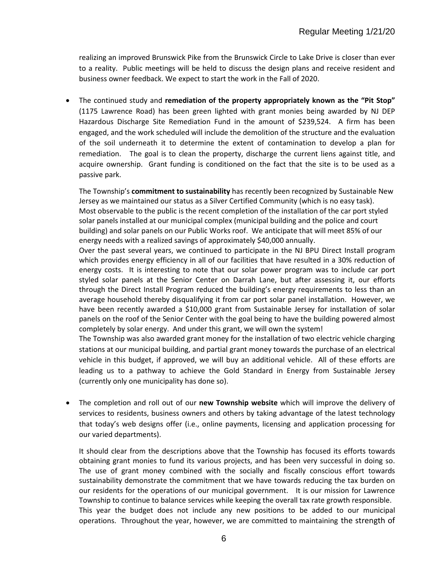realizing an improved Brunswick Pike from the Brunswick Circle to Lake Drive is closer than ever to a reality. Public meetings will be held to discuss the design plans and receive resident and business owner feedback. We expect to start the work in the Fall of 2020.

• The continued study and **remediation of the property appropriately known as the "Pit Stop"** (1175 Lawrence Road) has been green lighted with grant monies being awarded by NJ DEP Hazardous Discharge Site Remediation Fund in the amount of \$239,524. A firm has been engaged, and the work scheduled will include the demolition of the structure and the evaluation of the soil underneath it to determine the extent of contamination to develop a plan for remediation. The goal is to clean the property, discharge the current liens against title, and acquire ownership. Grant funding is conditioned on the fact that the site is to be used as a passive park.

The Township's **commitment to sustainability** has recently been recognized by Sustainable New Jersey as we maintained our status as a Silver Certified Community (which is no easy task). Most observable to the public is the recent completion of the installation of the car port styled solar panels installed at our municipal complex (municipal building and the police and court building) and solar panels on our Public Works roof. We anticipate that will meet 85% of our energy needs with a realized savings of approximately \$40,000 annually.

Over the past several years, we continued to participate in the NJ BPU Direct Install program which provides energy efficiency in all of our facilities that have resulted in a 30% reduction of energy costs. It is interesting to note that our solar power program was to include car port styled solar panels at the Senior Center on Darrah Lane, but after assessing it, our efforts through the Direct Install Program reduced the building's energy requirements to less than an average household thereby disqualifying it from car port solar panel installation. However, we have been recently awarded a \$10,000 grant from Sustainable Jersey for installation of solar panels on the roof of the Senior Center with the goal being to have the building powered almost completely by solar energy. And under this grant, we will own the system!

The Township was also awarded grant money for the installation of two electric vehicle charging stations at our municipal building, and partial grant money towards the purchase of an electrical vehicle in this budget, if approved, we will buy an additional vehicle. All of these efforts are leading us to a pathway to achieve the Gold Standard in Energy from Sustainable Jersey (currently only one municipality has done so).

• The completion and roll out of our **new Township website** which will improve the delivery of services to residents, business owners and others by taking advantage of the latest technology that today's web designs offer (i.e., online payments, licensing and application processing for our varied departments).

It should clear from the descriptions above that the Township has focused its efforts towards obtaining grant monies to fund its various projects, and has been very successful in doing so. The use of grant money combined with the socially and fiscally conscious effort towards sustainability demonstrate the commitment that we have towards reducing the tax burden on our residents for the operations of our municipal government. It is our mission for Lawrence Township to continue to balance services while keeping the overall tax rate growth responsible. This year the budget does not include any new positions to be added to our municipal operations. Throughout the year, however, we are committed to maintaining the strength of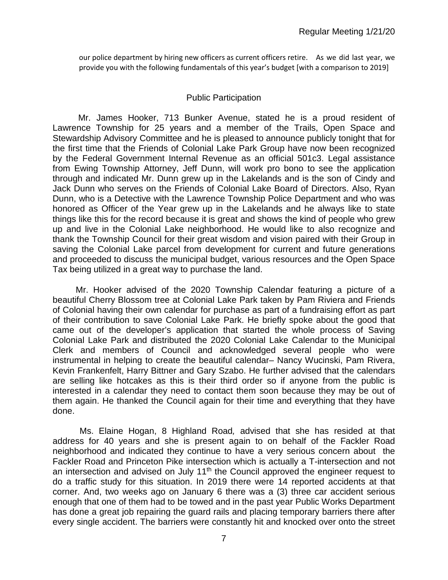our police department by hiring new officers as current officers retire. As we did last year, we provide you with the following fundamentals of this year's budget [with a comparison to 2019]

### Public Participation

Mr. James Hooker, 713 Bunker Avenue, stated he is a proud resident of Lawrence Township for 25 years and a member of the Trails, Open Space and Stewardship Advisory Committee and he is pleased to announce publicly tonight that for the first time that the Friends of Colonial Lake Park Group have now been recognized by the Federal Government Internal Revenue as an official 501c3. Legal assistance from Ewing Township Attorney, Jeff Dunn, will work pro bono to see the application through and indicated Mr. Dunn grew up in the Lakelands and is the son of Cindy and Jack Dunn who serves on the Friends of Colonial Lake Board of Directors. Also, Ryan Dunn, who is a Detective with the Lawrence Township Police Department and who was honored as Officer of the Year grew up in the Lakelands and he always like to state things like this for the record because it is great and shows the kind of people who grew up and live in the Colonial Lake neighborhood. He would like to also recognize and thank the Township Council for their great wisdom and vision paired with their Group in saving the Colonial Lake parcel from development for current and future generations and proceeded to discuss the municipal budget, various resources and the Open Space Tax being utilized in a great way to purchase the land.

Mr. Hooker advised of the 2020 Township Calendar featuring a picture of a beautiful Cherry Blossom tree at Colonial Lake Park taken by Pam Riviera and Friends of Colonial having their own calendar for purchase as part of a fundraising effort as part of their contribution to save Colonial Lake Park. He briefly spoke about the good that came out of the developer's application that started the whole process of Saving Colonial Lake Park and distributed the 2020 Colonial Lake Calendar to the Municipal Clerk and members of Council and acknowledged several people who were instrumental in helping to create the beautiful calendar– Nancy Wucinski, Pam Rivera, Kevin Frankenfelt, Harry Bittner and Gary Szabo. He further advised that the calendars are selling like hotcakes as this is their third order so if anyone from the public is interested in a calendar they need to contact them soon because they may be out of them again. He thanked the Council again for their time and everything that they have done.

 Ms. Elaine Hogan, 8 Highland Road*,* advised that she has resided at that address for 40 years and she is present again to on behalf of the Fackler Road neighborhood and indicated they continue to have a very serious concern about the Fackler Road and Princeton Pike intersection which is actually a T-intersection and not an intersection and advised on July 11<sup>th</sup> the Council approved the engineer request to do a traffic study for this situation. In 2019 there were 14 reported accidents at that corner. And, two weeks ago on January 6 there was a (3) three car accident serious enough that one of them had to be towed and in the past year Public Works Department has done a great job repairing the guard rails and placing temporary barriers there after every single accident. The barriers were constantly hit and knocked over onto the street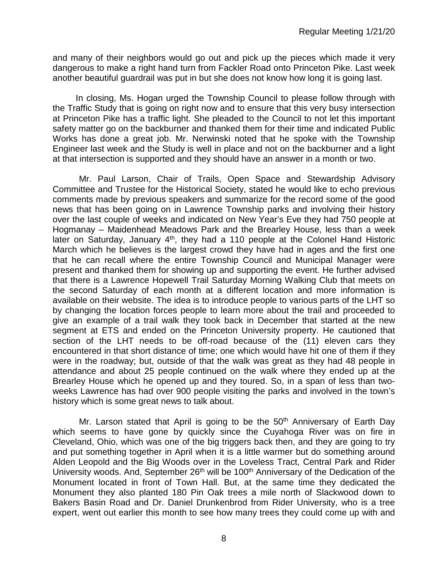and many of their neighbors would go out and pick up the pieces which made it very dangerous to make a right hand turn from Fackler Road onto Princeton Pike. Last week another beautiful guardrail was put in but she does not know how long it is going last.

In closing, Ms. Hogan urged the Township Council to please follow through with the Traffic Study that is going on right now and to ensure that this very busy intersection at Princeton Pike has a traffic light. She pleaded to the Council to not let this important safety matter go on the backburner and thanked them for their time and indicated Public Works has done a great job. Mr. Nerwinski noted that he spoke with the Township Engineer last week and the Study is well in place and not on the backburner and a light at that intersection is supported and they should have an answer in a month or two.

Mr. Paul Larson, Chair of Trails, Open Space and Stewardship Advisory Committee and Trustee for the Historical Society, stated he would like to echo previous comments made by previous speakers and summarize for the record some of the good news that has been going on in Lawrence Township parks and involving their history over the last couple of weeks and indicated on New Year's Eve they had 750 people at Hogmanay – Maidenhead Meadows Park and the Brearley House, less than a week later on Saturday, January 4<sup>th</sup>, they had a 110 people at the Colonel Hand Historic March which he believes is the largest crowd they have had in ages and the first one that he can recall where the entire Township Council and Municipal Manager were present and thanked them for showing up and supporting the event. He further advised that there is a Lawrence Hopewell Trail Saturday Morning Walking Club that meets on the second Saturday of each month at a different location and more information is available on their website. The idea is to introduce people to various parts of the LHT so by changing the location forces people to learn more about the trail and proceeded to give an example of a trail walk they took back in December that started at the new segment at ETS and ended on the Princeton University property. He cautioned that section of the LHT needs to be off-road because of the (11) eleven cars they encountered in that short distance of time; one which would have hit one of them if they were in the roadway; but, outside of that the walk was great as they had 48 people in attendance and about 25 people continued on the walk where they ended up at the Brearley House which he opened up and they toured. So, in a span of less than twoweeks Lawrence has had over 900 people visiting the parks and involved in the town's history which is some great news to talk about.

Mr. Larson stated that April is going to be the 50<sup>th</sup> Anniversary of Earth Day which seems to have gone by quickly since the Cuyahoga River was on fire in Cleveland, Ohio, which was one of the big triggers back then, and they are going to try and put something together in April when it is a little warmer but do something around Alden Leopold and the Big Woods over in the Loveless Tract, Central Park and Rider University woods. And, September 26<sup>th</sup> will be 100<sup>th</sup> Anniversary of the Dedication of the Monument located in front of Town Hall. But, at the same time they dedicated the Monument they also planted 180 Pin Oak trees a mile north of Slackwood down to Bakers Basin Road and Dr. Daniel Drunkenbrod from Rider University, who is a tree expert, went out earlier this month to see how many trees they could come up with and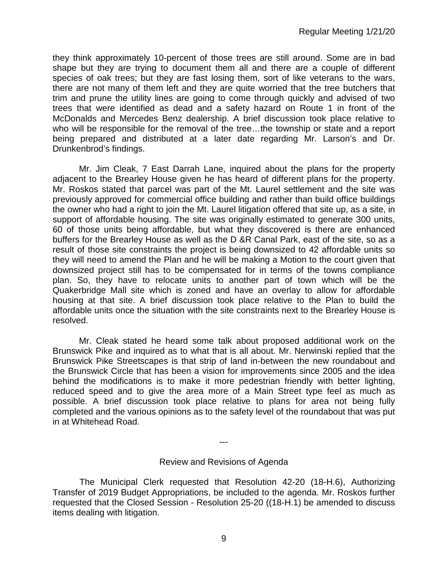they think approximately 10-percent of those trees are still around. Some are in bad shape but they are trying to document them all and there are a couple of different species of oak trees; but they are fast losing them, sort of like veterans to the wars, there are not many of them left and they are quite worried that the tree butchers that trim and prune the utility lines are going to come through quickly and advised of two trees that were identified as dead and a safety hazard on Route 1 in front of the McDonalds and Mercedes Benz dealership. A brief discussion took place relative to who will be responsible for the removal of the tree…the township or state and a report being prepared and distributed at a later date regarding Mr. Larson's and Dr. Drunkenbrod's findings.

Mr. Jim Cleak, 7 East Darrah Lane, inquired about the plans for the property adjacent to the Brearley House given he has heard of different plans for the property. Mr. Roskos stated that parcel was part of the Mt. Laurel settlement and the site was previously approved for commercial office building and rather than build office buildings the owner who had a right to join the Mt. Laurel litigation offered that site up, as a site, in support of affordable housing. The site was originally estimated to generate 300 units, 60 of those units being affordable, but what they discovered is there are enhanced buffers for the Brearley House as well as the D &R Canal Park, east of the site, so as a result of those site constraints the project is being downsized to 42 affordable units so they will need to amend the Plan and he will be making a Motion to the court given that downsized project still has to be compensated for in terms of the towns compliance plan. So, they have to relocate units to another part of town which will be the Quakerbridge Mall site which is zoned and have an overlay to allow for affordable housing at that site. A brief discussion took place relative to the Plan to build the affordable units once the situation with the site constraints next to the Brearley House is resolved.

Mr. Cleak stated he heard some talk about proposed additional work on the Brunswick Pike and inquired as to what that is all about. Mr. Nerwinski replied that the Brunswick Pike Streetscapes is that strip of land in-between the new roundabout and the Brunswick Circle that has been a vision for improvements since 2005 and the idea behind the modifications is to make it more pedestrian friendly with better lighting, reduced speed and to give the area more of a Main Street type feel as much as possible. A brief discussion took place relative to plans for area not being fully completed and the various opinions as to the safety level of the roundabout that was put in at Whitehead Road.

---

# Review and Revisions of Agenda

 The Municipal Clerk requested that Resolution 42-20 (18-H.6), Authorizing Transfer of 2019 Budget Appropriations, be included to the agenda. Mr. Roskos further requested that the Closed Session - Resolution 25-20 ((18-H.1) be amended to discuss items dealing with litigation.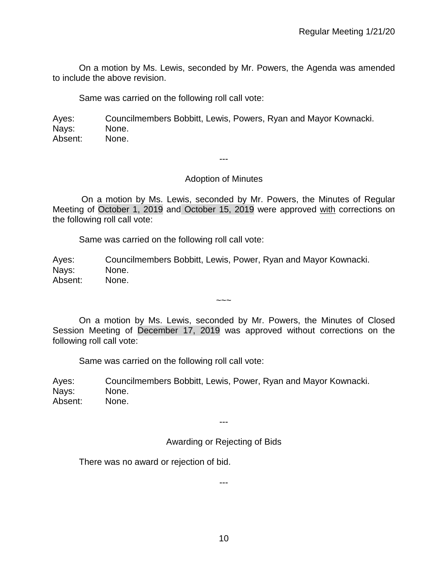On a motion by Ms. Lewis, seconded by Mr. Powers, the Agenda was amended to include the above revision.

Same was carried on the following roll call vote:

Ayes: Councilmembers Bobbitt, Lewis, Powers, Ryan and Mayor Kownacki. Nays: None. Absent: None.

---

## Adoption of Minutes

On a motion by Ms. Lewis, seconded by Mr. Powers, the Minutes of Regular Meeting of October 1, 2019 and October 15, 2019 were approved with corrections on the following roll call vote:

Same was carried on the following roll call vote:

Ayes: Councilmembers Bobbitt, Lewis, Power, Ryan and Mayor Kownacki. Nays: None. Absent: None.

On a motion by Ms. Lewis, seconded by Mr. Powers, the Minutes of Closed Session Meeting of December 17, 2019 was approved without corrections on the following roll call vote:

 $\sim\sim\sim$ 

Same was carried on the following roll call vote:

Ayes: Councilmembers Bobbitt, Lewis, Power, Ryan and Mayor Kownacki. Nays: None. Absent: None.

---

# Awarding or Rejecting of Bids

There was no award or rejection of bid.

---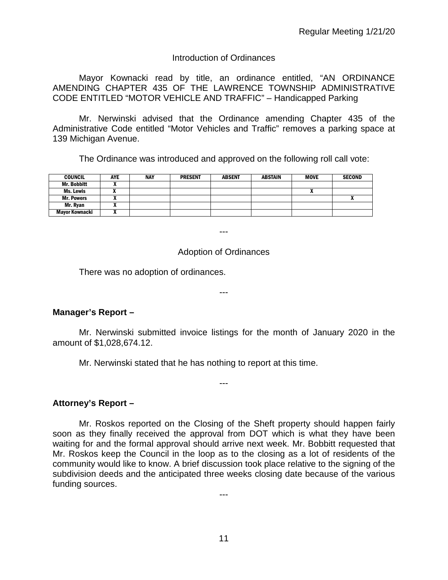# Introduction of Ordinances

Mayor Kownacki read by title, an ordinance entitled, "AN ORDINANCE AMENDING CHAPTER 435 OF THE LAWRENCE TOWNSHIP ADMINISTRATIVE CODE ENTITLED "MOTOR VEHICLE AND TRAFFIC" – Handicapped Parking

Mr. Nerwinski advised that the Ordinance amending Chapter 435 of the Administrative Code entitled "Motor Vehicles and Traffic" removes a parking space at 139 Michigan Avenue.

The Ordinance was introduced and approved on the following roll call vote:

| <b>COUNCIL</b>     | <b>AYE</b> | <b>NAY</b> | <b>PRESENT</b> | <b>ABSENT</b> | <b>ABSTAIN</b> | MOVE | <b>SECOND</b> |
|--------------------|------------|------------|----------------|---------------|----------------|------|---------------|
| <b>Mr. Bobbitt</b> |            |            |                |               |                |      |               |
| Ms. Lewis          |            |            |                |               |                | n    |               |
| <b>Mr. Powers</b>  |            |            |                |               |                |      |               |
| Mr. Ryan           |            |            |                |               |                |      |               |
| Mavor Kownacki     |            |            |                |               |                |      |               |

---

# Adoption of Ordinances

There was no adoption of ordinances.

---

# **Manager's Report –**

Mr. Nerwinski submitted invoice listings for the month of January 2020 in the amount of \$1,028,674.12.

---

Mr. Nerwinski stated that he has nothing to report at this time.

**Attorney's Report –**

Mr. Roskos reported on the Closing of the Sheft property should happen fairly soon as they finally received the approval from DOT which is what they have been waiting for and the formal approval should arrive next week. Mr. Bobbitt requested that Mr. Roskos keep the Council in the loop as to the closing as a lot of residents of the community would like to know. A brief discussion took place relative to the signing of the subdivision deeds and the anticipated three weeks closing date because of the various funding sources.

11

---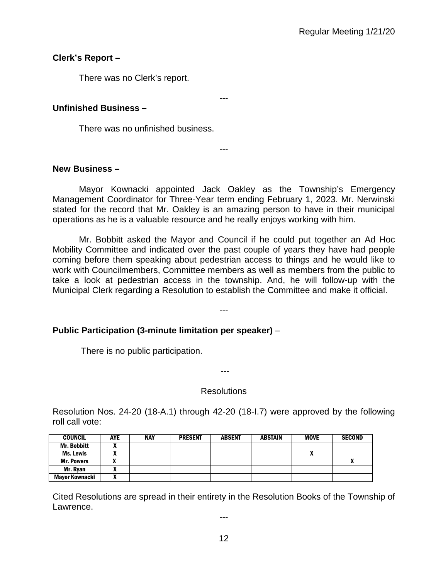# **Clerk's Report –**

There was no Clerk's report.

# **Unfinished Business –**

There was no unfinished business.

## **New Business –**

Mayor Kownacki appointed Jack Oakley as the Township's Emergency Management Coordinator for Three-Year term ending February 1, 2023. Mr. Nerwinski stated for the record that Mr. Oakley is an amazing person to have in their municipal operations as he is a valuable resource and he really enjoys working with him.

---

---

Mr. Bobbitt asked the Mayor and Council if he could put together an Ad Hoc Mobility Committee and indicated over the past couple of years they have had people coming before them speaking about pedestrian access to things and he would like to work with Councilmembers, Committee members as well as members from the public to take a look at pedestrian access in the township. And, he will follow-up with the Municipal Clerk regarding a Resolution to establish the Committee and make it official.

---

# **Public Participation (3-minute limitation per speaker)** –

There is no public participation.

### **Resolutions**

---

Resolution Nos. 24-20 (18-A.1) through 42-20 (18-I.7) were approved by the following roll call vote:

| <b>COUNCIL</b>     | AYE | <b>NAY</b> | <b>PRESENT</b> | <b>ABSENT</b> | <b>ABSTAIN</b> | <b>MOVE</b> | <b>SECOND</b> |
|--------------------|-----|------------|----------------|---------------|----------------|-------------|---------------|
| <b>Mr. Bobbitt</b> |     |            |                |               |                |             |               |
| <b>Ms. Lewis</b>   |     |            |                |               |                | "           |               |
| <b>Mr. Powers</b>  |     |            |                |               |                |             |               |
| Mr. Ryan           |     |            |                |               |                |             |               |
| Mayor Kownacki     |     |            |                |               |                |             |               |

Cited Resolutions are spread in their entirety in the Resolution Books of the Township of Lawrence.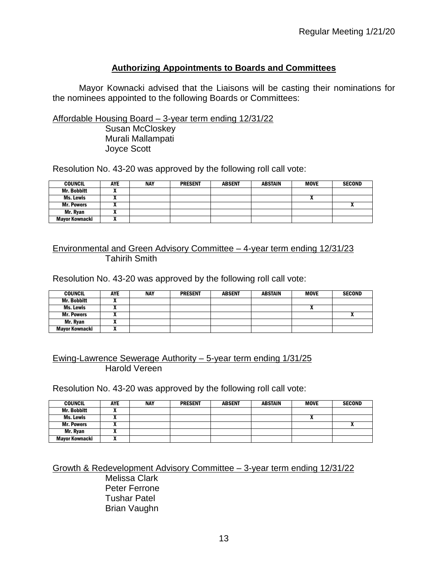# **Authorizing Appointments to Boards and Committees**

Mayor Kownacki advised that the Liaisons will be casting their nominations for the nominees appointed to the following Boards or Committees:

Affordable Housing Board – 3-year term ending 12/31/22

Susan McCloskey Murali Mallampati Joyce Scott

Resolution No. 43-20 was approved by the following roll call vote:

| <b>COUNCIL</b>     | AYE | <b>NAY</b> | <b>PRESENT</b> | <b>ABSENT</b> | <b>ABSTAIN</b> | <b>MOVE</b> | <b>SECOND</b> |
|--------------------|-----|------------|----------------|---------------|----------------|-------------|---------------|
| <b>Mr. Bobbitt</b> |     |            |                |               |                |             |               |
| Ms. Lewis          |     |            |                |               |                |             |               |
| <b>Mr. Powers</b>  |     |            |                |               |                |             |               |
| Mr. Rvan           |     |            |                |               |                |             |               |
| Mayor Kownacki     |     |            |                |               |                |             |               |

## Environmental and Green Advisory Committee – 4-year term ending 12/31/23 Tahirih Smith

Resolution No. 43-20 was approved by the following roll call vote:

| <b>COUNCIL</b>    | <b>AYE</b> | <b>NAY</b> | <b>PRESENT</b> | <b>ABSENT</b> | <b>ABSTAIN</b> | <b>MOVE</b> | <b>SECOND</b> |
|-------------------|------------|------------|----------------|---------------|----------------|-------------|---------------|
| Mr. Bobbitt       |            |            |                |               |                |             |               |
| Ms. Lewis         |            |            |                |               |                |             |               |
| <b>Mr. Powers</b> |            |            |                |               |                |             |               |
| Mr. Rvan          |            |            |                |               |                |             |               |
| Mayor Kownacki    |            |            |                |               |                |             |               |

# Ewing-Lawrence Sewerage Authority – 5-year term ending 1/31/25 Harold Vereen

Resolution No. 43-20 was approved by the following roll call vote:

| <b>COUNCIL</b>     | <b>AYE</b> | <b>NAY</b> | <b>PRESENT</b> | <b>ABSENT</b> | ABSTAIN | <b>MOVE</b> | <b>SECOND</b> |
|--------------------|------------|------------|----------------|---------------|---------|-------------|---------------|
| <b>Mr. Bobbitt</b> |            |            |                |               |         |             |               |
| Ms. Lewis          |            |            |                |               |         |             |               |
| <b>Mr. Powers</b>  |            |            |                |               |         |             |               |
| Mr. Ryan           |            |            |                |               |         |             |               |
| Mayor Kownacki     | ^          |            |                |               |         |             |               |

Growth & Redevelopment Advisory Committee – 3-year term ending 12/31/22 Melissa Clark Peter Ferrone Tushar Patel Brian Vaughn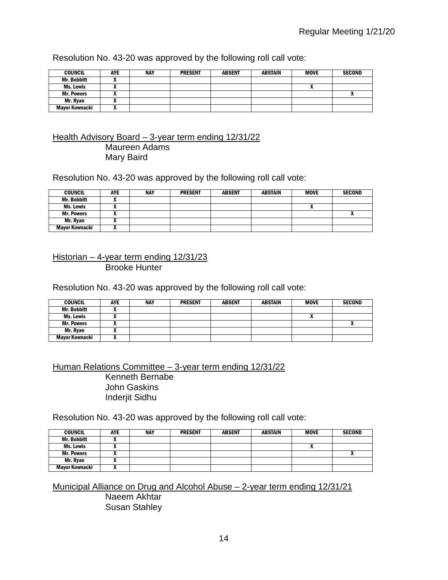Resolution No. 43-20 was approved by the following roll call vote:

| <b>COUNCIL</b>     | <b>AYE</b> | <b>NAY</b> | <b>PRESENT</b> | <b>ABSENT</b> | <b>ABSTAIN</b> | <b>MOVE</b> | <b>SECOND</b> |
|--------------------|------------|------------|----------------|---------------|----------------|-------------|---------------|
| <b>Mr. Bobbitt</b> |            |            |                |               |                |             |               |
| Ms. Lewis          |            |            |                |               |                |             |               |
| <b>Mr. Powers</b>  |            |            |                |               |                |             |               |
| Mr. Rvan           |            |            |                |               |                |             |               |
| Mavor Kownacki     | ^          |            |                |               |                |             |               |

## Health Advisory Board – 3-year term ending 12/31/22 Maureen Adams Mary Baird

Resolution No. 43-20 was approved by the following roll call vote:

| <b>COUNCIL</b>     | <b>AYE</b> | NAY | <b>PRESENT</b> | <b>ABSENT</b> | <b>ABSTAIN</b> | <b>MOVE</b> | <b>SECOND</b> |
|--------------------|------------|-----|----------------|---------------|----------------|-------------|---------------|
| <b>Mr. Bobbitt</b> |            |     |                |               |                |             |               |
| Ms. Lewis          |            |     |                |               |                |             |               |
| <b>Mr. Powers</b>  |            |     |                |               |                |             |               |
| Mr. Ryan           |            |     |                |               |                |             |               |
| Mayor Kownacki     |            |     |                |               |                |             |               |

## Historian – 4-year term ending 12/31/23 Brooke Hunter

Resolution No. 43-20 was approved by the following roll call vote:

| <b>COUNCIL</b>        | <b>AYE</b> | <b>NAY</b> | <b>PRESENT</b> | <b>ABSENT</b> | <b>ABSTAIN</b> | <b>MOVE</b> | <b>SECOND</b> |
|-----------------------|------------|------------|----------------|---------------|----------------|-------------|---------------|
| Mr. Bobbitt           |            |            |                |               |                |             |               |
| Ms. Lewis             |            |            |                |               |                | "           |               |
| <b>Mr. Powers</b>     |            |            |                |               |                |             | ^             |
| Mr. Ryan              |            |            |                |               |                |             |               |
| <b>Mayor Kownacki</b> | ,,         |            |                |               |                |             |               |

Human Relations Committee – 3-year term ending 12/31/22 Kenneth Bernabe John Gaskins Inderjit Sidhu

Resolution No. 43-20 was approved by the following roll call vote:

| <b>COUNCIL</b>     | <b>AYE</b> | <b>NAY</b> | <b>PRESENT</b> | <b>ABSENT</b> | <b>ABSTAIN</b> | <b>MOVE</b> | <b>SECOND</b> |
|--------------------|------------|------------|----------------|---------------|----------------|-------------|---------------|
| <b>Mr. Bobbitt</b> |            |            |                |               |                |             |               |
| Ms. Lewis          |            |            |                |               |                |             |               |
| <b>Mr. Powers</b>  |            |            |                |               |                |             |               |
| Mr. Ryan           |            |            |                |               |                |             |               |
| Mayor Kownacki     |            |            |                |               |                |             |               |

Municipal Alliance on Drug and Alcohol Abuse – 2-year term ending 12/31/21 Naeem Akhtar Susan Stahley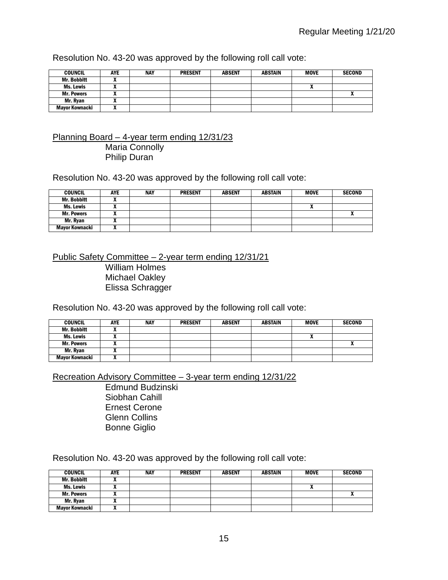Resolution No. 43-20 was approved by the following roll call vote:

| <b>COUNCIL</b>        | <b>AYE</b> | <b>NAY</b> | <b>PRESENT</b> | <b>ABSENT</b> | <b>ABSTAIN</b> | <b>MOVE</b> | <b>SECOND</b> |
|-----------------------|------------|------------|----------------|---------------|----------------|-------------|---------------|
| <b>Mr. Bobbitt</b>    |            |            |                |               |                |             |               |
| Ms. Lewis             |            |            |                |               |                |             |               |
| <b>Mr. Powers</b>     |            |            |                |               |                |             |               |
| Mr. Rvan              | ~          |            |                |               |                |             |               |
| <b>Mayor Kownacki</b> | ~          |            |                |               |                |             |               |

## Planning Board – 4-year term ending 12/31/23 Maria Connolly Philip Duran

Resolution No. 43-20 was approved by the following roll call vote:

| <b>COUNCIL</b>        | <b>AYE</b> | NAY | <b>PRESENT</b> | <b>ABSENT</b> | <b>ABSTAIN</b> | <b>MOVE</b> | <b>SECOND</b> |
|-----------------------|------------|-----|----------------|---------------|----------------|-------------|---------------|
| <b>Mr. Bobbitt</b>    |            |     |                |               |                |             |               |
| Ms. Lewis             |            |     |                |               |                |             |               |
| <b>Mr. Powers</b>     |            |     |                |               |                |             |               |
| Mr. Rvan              |            |     |                |               |                |             |               |
| <b>Mayor Kownacki</b> |            |     |                |               |                |             |               |

Public Safety Committee – 2-year term ending 12/31/21 William Holmes Michael Oakley Elissa Schragger

Resolution No. 43-20 was approved by the following roll call vote:

| <b>COUNCIL</b>     | <b>AYE</b> | <b>NAY</b> | <b>PRESENT</b> | <b>ABSENT</b> | <b>ABSTAIN</b> | <b>MOVE</b> | <b>SECOND</b> |
|--------------------|------------|------------|----------------|---------------|----------------|-------------|---------------|
| <b>Mr. Bobbitt</b> |            |            |                |               |                |             |               |
| Ms. Lewis          |            |            |                |               |                |             |               |
| <b>Mr. Powers</b>  |            |            |                |               |                |             | <br>Λ         |
| Mr. Ryan           |            |            |                |               |                |             |               |
| Mayor Kownacki     |            |            |                |               |                |             |               |

Recreation Advisory Committee – 3-year term ending 12/31/22

Edmund Budzinski Siobhan Cahill Ernest Cerone Glenn Collins Bonne Giglio

Resolution No. 43-20 was approved by the following roll call vote:

| <b>COUNCIL</b>     | <b>AYE</b> | <b>NAY</b> | <b>PRESENT</b> | <b>ABSENT</b> | <b>ABSTAIN</b> | <b>MOVE</b> | <b>SECOND</b> |
|--------------------|------------|------------|----------------|---------------|----------------|-------------|---------------|
| <b>Mr. Bobbitt</b> |            |            |                |               |                |             |               |
| Ms. Lewis          |            |            |                |               |                |             |               |
| <b>Mr. Powers</b>  |            |            |                |               |                |             |               |
| Mr. Rvan           |            |            |                |               |                |             |               |
| Mayor Kownacki     |            |            |                |               |                |             |               |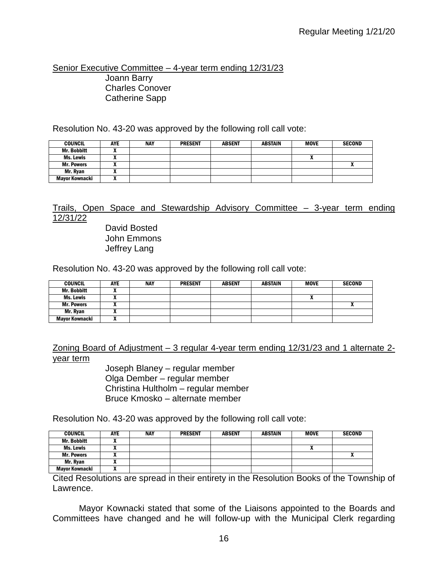Senior Executive Committee – 4-year term ending 12/31/23 Joann Barry Charles Conover Catherine Sapp

Resolution No. 43-20 was approved by the following roll call vote:

| <b>COUNCIL</b>     | <b>AYE</b> | <b>NAY</b> | <b>PRESENT</b> | <b>ABSENT</b> | <b>ABSTAIN</b> | <b>MOVE</b> | <b>SECOND</b> |
|--------------------|------------|------------|----------------|---------------|----------------|-------------|---------------|
| <b>Mr. Bobbitt</b> |            |            |                |               |                |             |               |
| Ms. Lewis          |            |            |                |               |                |             |               |
| <b>Mr. Powers</b>  |            |            |                |               |                |             |               |
| Mr. Rvan           |            |            |                |               |                |             |               |
| Mayor Kownacki     |            |            |                |               |                |             |               |

# Trails, Open Space and Stewardship Advisory Committee – 3-year term ending 12/31/22

David Bosted John Emmons Jeffrey Lang

Resolution No. 43-20 was approved by the following roll call vote:

| <b>COUNCIL</b>     | <b>AYE</b> | <b>NAY</b> | <b>PRESENT</b> | <b>ABSENT</b> | <b>ABSTAIN</b> | <b>MOVE</b> | <b>SECOND</b> |
|--------------------|------------|------------|----------------|---------------|----------------|-------------|---------------|
| <b>Mr. Bobbitt</b> |            |            |                |               |                |             |               |
| Ms. Lewis          | ,,         |            |                |               |                |             |               |
| <b>Mr. Powers</b>  |            |            |                |               |                |             | Λ             |
| Mr. Rvan           |            |            |                |               |                |             |               |
| Mayor Kownacki     |            |            |                |               |                |             |               |

Zoning Board of Adjustment – 3 regular 4-year term ending 12/31/23 and 1 alternate 2 year term

> Joseph Blaney – regular member Olga Dember – regular member Christina Hultholm – regular member Bruce Kmosko – alternate member

Resolution No. 43-20 was approved by the following roll call vote:

| <b>COUNCIL</b>     | AYE | <b>NAY</b> | <b>PRESENT</b> | <b>ABSENT</b> | <b>ABSTAIN</b> | <b>MOVE</b> | <b>SECOND</b> |
|--------------------|-----|------------|----------------|---------------|----------------|-------------|---------------|
| <b>Mr. Bobbitt</b> |     |            |                |               |                |             |               |
| Ms. Lewis          |     |            |                |               |                |             |               |
| <b>Mr. Powers</b>  |     |            |                |               |                |             |               |
| Mr. Rvan           |     |            |                |               |                |             |               |
| Mayor Kownacki     |     |            |                |               |                |             |               |

Cited Resolutions are spread in their entirety in the Resolution Books of the Township of Lawrence.

Mayor Kownacki stated that some of the Liaisons appointed to the Boards and Committees have changed and he will follow-up with the Municipal Clerk regarding